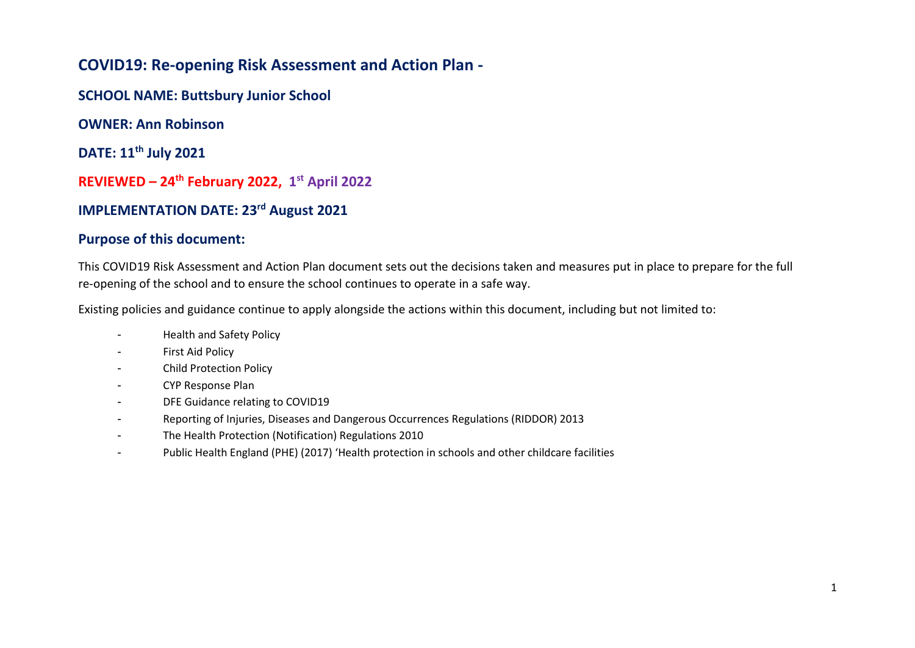## **COVID19: Re-opening Risk Assessment and Action Plan -**

**SCHOOL NAME: Buttsbury Junior School**

**OWNER: Ann Robinson** 

**DATE: 11th July 2021**

**REVIEWED – 24th February 2022, 1 st April 2022**

## **IMPLEMENTATION DATE: 23rd August 2021**

## **Purpose of this document:**

This COVID19 Risk Assessment and Action Plan document sets out the decisions taken and measures put in place to prepare for the full re-opening of the school and to ensure the school continues to operate in a safe way.

Existing policies and guidance continue to apply alongside the actions within this document, including but not limited to:

- Health and Safety Policy
- First Aid Policy
- Child Protection Policy
- CYP Response Plan
- DFE Guidance relating to COVID19
- Reporting of Injuries, Diseases and Dangerous Occurrences Regulations (RIDDOR) 2013
- The Health Protection (Notification) Regulations 2010
- Public Health England (PHE) (2017) 'Health protection in schools and other childcare facilities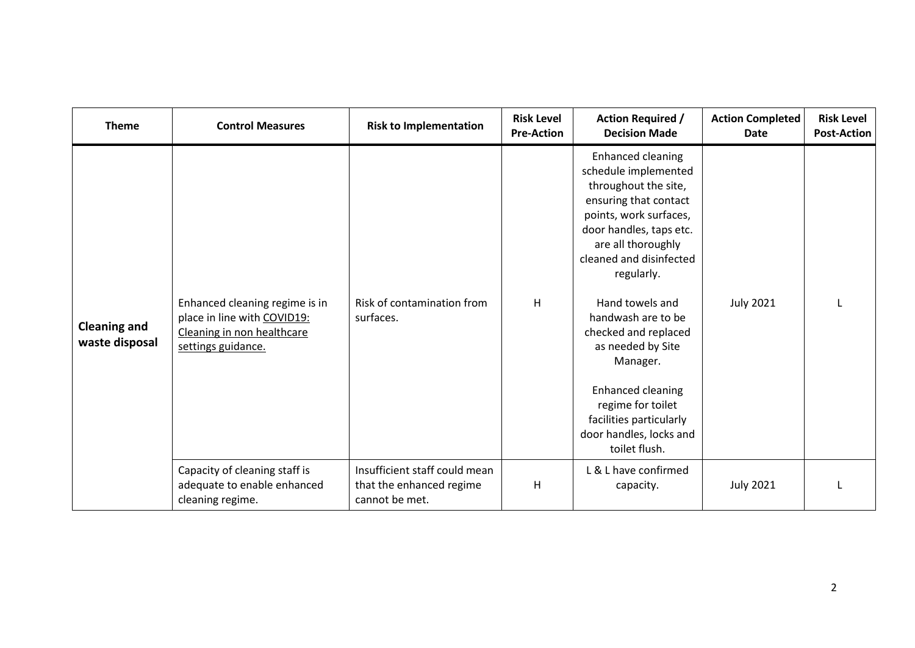| <b>Theme</b>                          | <b>Control Measures</b>                                                                                           | <b>Risk to Implementation</b>                                               | <b>Risk Level</b><br><b>Pre-Action</b> | <b>Action Required /</b><br><b>Decision Made</b>                                                                                                                                                                                                                                                                                                                                                                                  | <b>Action Completed</b><br>Date | <b>Risk Level</b><br><b>Post-Action</b> |
|---------------------------------------|-------------------------------------------------------------------------------------------------------------------|-----------------------------------------------------------------------------|----------------------------------------|-----------------------------------------------------------------------------------------------------------------------------------------------------------------------------------------------------------------------------------------------------------------------------------------------------------------------------------------------------------------------------------------------------------------------------------|---------------------------------|-----------------------------------------|
| <b>Cleaning and</b><br>waste disposal | Enhanced cleaning regime is in<br>place in line with COVID19:<br>Cleaning in non healthcare<br>settings guidance. | Risk of contamination from<br>surfaces.                                     | H                                      | Enhanced cleaning<br>schedule implemented<br>throughout the site,<br>ensuring that contact<br>points, work surfaces,<br>door handles, taps etc.<br>are all thoroughly<br>cleaned and disinfected<br>regularly.<br>Hand towels and<br>handwash are to be<br>checked and replaced<br>as needed by Site<br>Manager.<br>Enhanced cleaning<br>regime for toilet<br>facilities particularly<br>door handles, locks and<br>toilet flush. | <b>July 2021</b>                |                                         |
|                                       | Capacity of cleaning staff is<br>adequate to enable enhanced<br>cleaning regime.                                  | Insufficient staff could mean<br>that the enhanced regime<br>cannot be met. | H                                      | L & L have confirmed<br>capacity.                                                                                                                                                                                                                                                                                                                                                                                                 | <b>July 2021</b>                |                                         |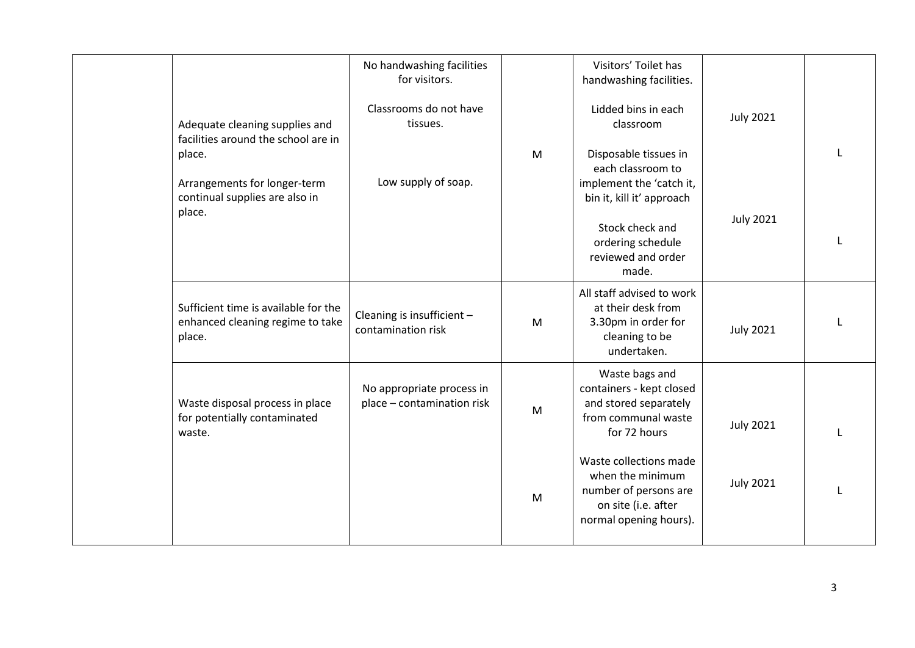|                                                                                                                                                   | No handwashing facilities<br>for visitors.<br>Classrooms do not have |   | Visitors' Toilet has<br>handwashing facilities.<br>Lidded bins in each                                               | <b>July 2021</b> |  |
|---------------------------------------------------------------------------------------------------------------------------------------------------|----------------------------------------------------------------------|---|----------------------------------------------------------------------------------------------------------------------|------------------|--|
| Adequate cleaning supplies and<br>facilities around the school are in<br>place.<br>Arrangements for longer-term<br>continual supplies are also in | tissues.<br>Low supply of soap.                                      | M | classroom<br>Disposable tissues in<br>each classroom to<br>implement the 'catch it,<br>bin it, kill it' approach     |                  |  |
| place.                                                                                                                                            |                                                                      |   | Stock check and<br>ordering schedule<br>reviewed and order<br>made.                                                  | <b>July 2021</b> |  |
| Sufficient time is available for the<br>enhanced cleaning regime to take<br>place.                                                                | Cleaning is insufficient -<br>contamination risk                     | M | All staff advised to work<br>at their desk from<br>3.30pm in order for<br>cleaning to be<br>undertaken.              | <b>July 2021</b> |  |
| Waste disposal process in place<br>for potentially contaminated<br>waste.                                                                         | No appropriate process in<br>place - contamination risk              | M | Waste bags and<br>containers - kept closed<br>and stored separately<br>from communal waste<br>for 72 hours           | <b>July 2021</b> |  |
|                                                                                                                                                   |                                                                      | M | Waste collections made<br>when the minimum<br>number of persons are<br>on site (i.e. after<br>normal opening hours). | <b>July 2021</b> |  |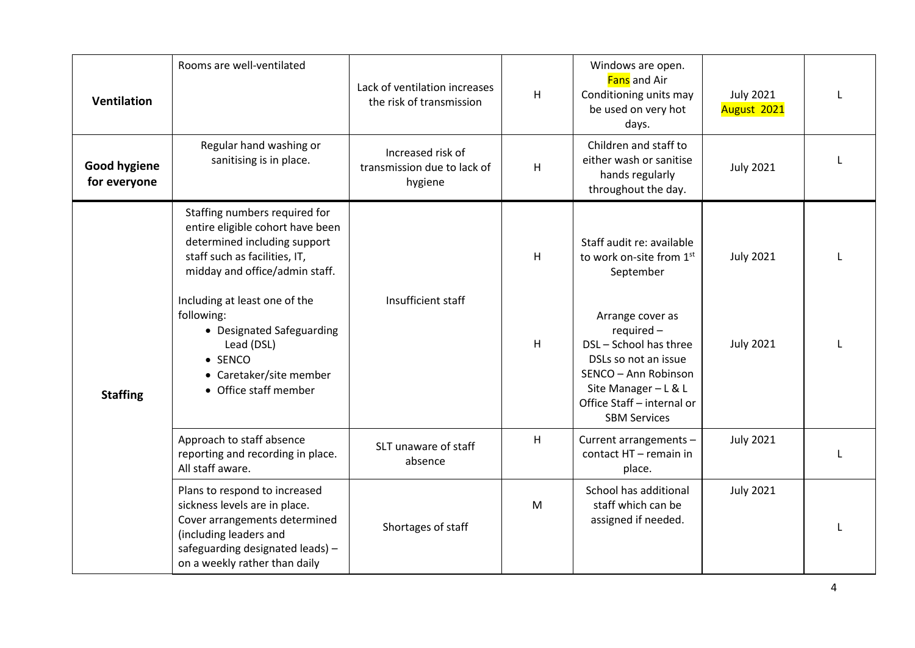| <b>Ventilation</b>                  | Rooms are well-ventilated                                                                                                                                                                                                                                                                                                             | Lack of ventilation increases<br>the risk of transmission   | H                   | Windows are open.<br>Fans and Air<br>Conditioning units may<br>be used on very hot<br>days.                                                                                                                                                                 | <b>July 2021</b><br>August 2021      |   |
|-------------------------------------|---------------------------------------------------------------------------------------------------------------------------------------------------------------------------------------------------------------------------------------------------------------------------------------------------------------------------------------|-------------------------------------------------------------|---------------------|-------------------------------------------------------------------------------------------------------------------------------------------------------------------------------------------------------------------------------------------------------------|--------------------------------------|---|
| <b>Good hygiene</b><br>for everyone | Regular hand washing or<br>sanitising is in place.                                                                                                                                                                                                                                                                                    | Increased risk of<br>transmission due to lack of<br>hygiene | H                   | Children and staff to<br>either wash or sanitise<br>hands regularly<br>throughout the day.                                                                                                                                                                  | <b>July 2021</b>                     |   |
| <b>Staffing</b>                     | Staffing numbers required for<br>entire eligible cohort have been<br>determined including support<br>staff such as facilities, IT,<br>midday and office/admin staff.<br>Including at least one of the<br>following:<br>• Designated Safeguarding<br>Lead (DSL)<br>$\bullet$ SENCO<br>• Caretaker/site member<br>• Office staff member | Insufficient staff                                          | H<br>$\overline{H}$ | Staff audit re: available<br>to work on-site from 1st<br>September<br>Arrange cover as<br>required -<br>DSL - School has three<br>DSLs so not an issue<br>SENCO - Ann Robinson<br>Site Manager - L & L<br>Office Staff - internal or<br><b>SBM Services</b> | <b>July 2021</b><br><b>July 2021</b> |   |
|                                     | Approach to staff absence<br>reporting and recording in place.<br>All staff aware.                                                                                                                                                                                                                                                    | SLT unaware of staff<br>absence                             | H                   | Current arrangements -<br>contact HT - remain in<br>place.                                                                                                                                                                                                  | <b>July 2021</b>                     | L |
|                                     | Plans to respond to increased<br>sickness levels are in place.<br>Cover arrangements determined<br>(including leaders and<br>safeguarding designated leads) -<br>on a weekly rather than daily                                                                                                                                        | Shortages of staff                                          | M                   | School has additional<br>staff which can be<br>assigned if needed.                                                                                                                                                                                          | <b>July 2021</b>                     |   |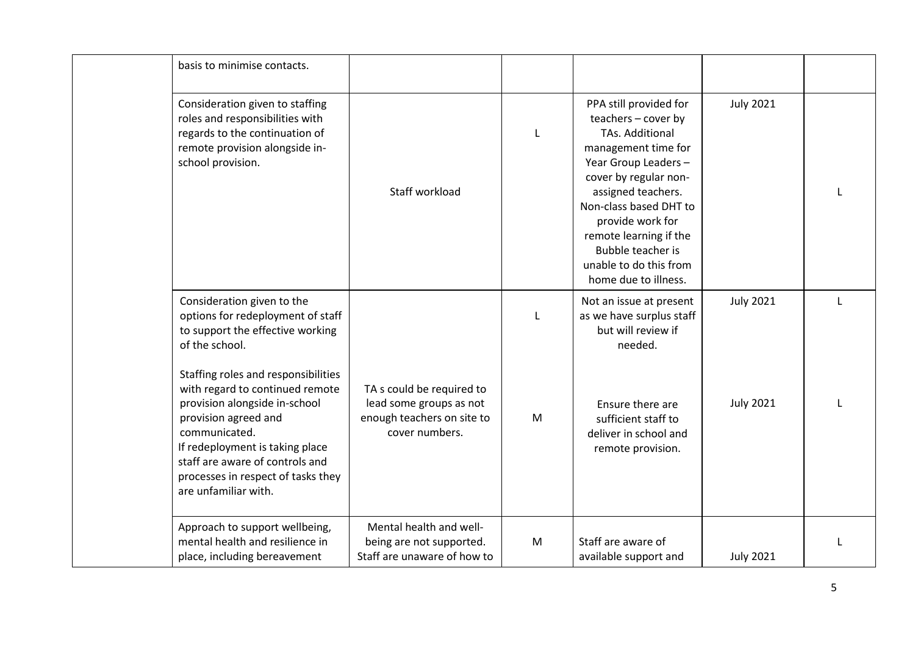| basis to minimise contacts.                                                                                                                                                                                                                                                          |                                                                                                      |           |                                                                                                                                                                                                                                                                                                                      |                  |   |
|--------------------------------------------------------------------------------------------------------------------------------------------------------------------------------------------------------------------------------------------------------------------------------------|------------------------------------------------------------------------------------------------------|-----------|----------------------------------------------------------------------------------------------------------------------------------------------------------------------------------------------------------------------------------------------------------------------------------------------------------------------|------------------|---|
| Consideration given to staffing<br>roles and responsibilities with<br>regards to the continuation of<br>remote provision alongside in-<br>school provision.                                                                                                                          | Staff workload                                                                                       | L         | PPA still provided for<br>teachers - cover by<br><b>TAs. Additional</b><br>management time for<br>Year Group Leaders -<br>cover by regular non-<br>assigned teachers.<br>Non-class based DHT to<br>provide work for<br>remote learning if the<br>Bubble teacher is<br>unable to do this from<br>home due to illness. | <b>July 2021</b> |   |
| Consideration given to the<br>options for redeployment of staff<br>to support the effective working<br>of the school.                                                                                                                                                                |                                                                                                      |           | Not an issue at present<br>as we have surplus staff<br>but will review if<br>needed.                                                                                                                                                                                                                                 | <b>July 2021</b> | L |
| Staffing roles and responsibilities<br>with regard to continued remote<br>provision alongside in-school<br>provision agreed and<br>communicated.<br>If redeployment is taking place<br>staff are aware of controls and<br>processes in respect of tasks they<br>are unfamiliar with. | TA s could be required to<br>lead some groups as not<br>enough teachers on site to<br>cover numbers. | M         | Ensure there are<br>sufficient staff to<br>deliver in school and<br>remote provision.                                                                                                                                                                                                                                | <b>July 2021</b> |   |
| Approach to support wellbeing,<br>mental health and resilience in<br>place, including bereavement                                                                                                                                                                                    | Mental health and well-<br>being are not supported.<br>Staff are unaware of how to                   | ${\sf M}$ | Staff are aware of<br>available support and                                                                                                                                                                                                                                                                          | <b>July 2021</b> |   |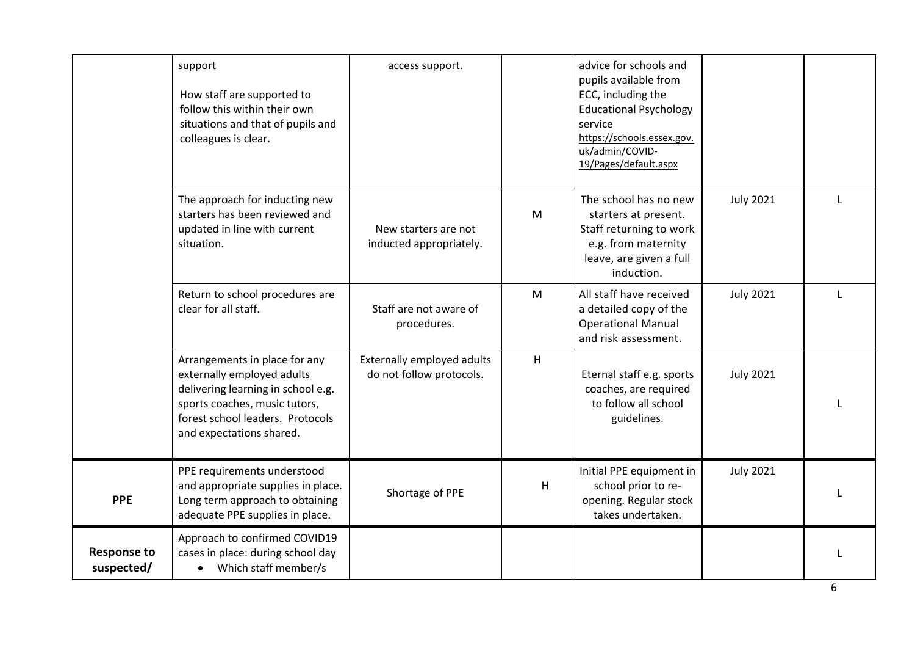|                                  | support<br>How staff are supported to<br>follow this within their own<br>situations and that of pupils and<br>colleagues is clear.                                                                 | access support.                                        |   | advice for schools and<br>pupils available from<br>ECC, including the<br><b>Educational Psychology</b><br>service<br>https://schools.essex.gov.<br>uk/admin/COVID-<br>19/Pages/default.aspx |                  |              |
|----------------------------------|----------------------------------------------------------------------------------------------------------------------------------------------------------------------------------------------------|--------------------------------------------------------|---|---------------------------------------------------------------------------------------------------------------------------------------------------------------------------------------------|------------------|--------------|
|                                  | The approach for inducting new<br>starters has been reviewed and<br>updated in line with current<br>situation.                                                                                     | New starters are not<br>inducted appropriately.        | M | The school has no new<br>starters at present.<br>Staff returning to work<br>e.g. from maternity<br>leave, are given a full<br>induction.                                                    | <b>July 2021</b> | $\mathbf{L}$ |
|                                  | Return to school procedures are<br>clear for all staff.                                                                                                                                            | Staff are not aware of<br>procedures.                  | M | All staff have received<br>a detailed copy of the<br><b>Operational Manual</b><br>and risk assessment.                                                                                      | <b>July 2021</b> | L            |
|                                  | Arrangements in place for any<br>externally employed adults<br>delivering learning in school e.g.<br>sports coaches, music tutors,<br>forest school leaders. Protocols<br>and expectations shared. | Externally employed adults<br>do not follow protocols. | H | Eternal staff e.g. sports<br>coaches, are required<br>to follow all school<br>guidelines.                                                                                                   | <b>July 2021</b> |              |
| <b>PPE</b>                       | PPE requirements understood<br>and appropriate supplies in place.<br>Long term approach to obtaining<br>adequate PPE supplies in place.                                                            | Shortage of PPE                                        | H | Initial PPE equipment in<br>school prior to re-<br>opening. Regular stock<br>takes undertaken.                                                                                              | <b>July 2021</b> |              |
| <b>Response to</b><br>suspected/ | Approach to confirmed COVID19<br>cases in place: during school day<br>• Which staff member/s                                                                                                       |                                                        |   |                                                                                                                                                                                             |                  |              |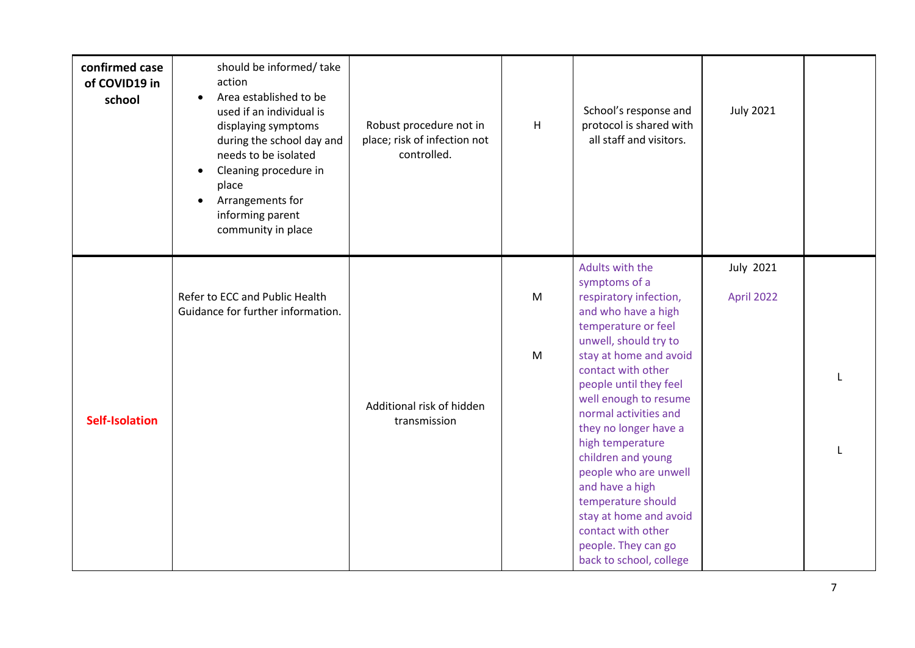| confirmed case<br>of COVID19 in<br>school | should be informed/take<br>action<br>Area established to be<br>$\bullet$<br>used if an individual is<br>displaying symptoms<br>during the school day and<br>needs to be isolated<br>Cleaning procedure in<br>place<br>Arrangements for<br>$\bullet$<br>informing parent<br>community in place | Robust procedure not in<br>place; risk of infection not<br>controlled. | H      | School's response and<br>protocol is shared with<br>all staff and visitors.                                                                                                                                                                                                                                                                                                                                                                                                                          | <b>July 2021</b>               |  |
|-------------------------------------------|-----------------------------------------------------------------------------------------------------------------------------------------------------------------------------------------------------------------------------------------------------------------------------------------------|------------------------------------------------------------------------|--------|------------------------------------------------------------------------------------------------------------------------------------------------------------------------------------------------------------------------------------------------------------------------------------------------------------------------------------------------------------------------------------------------------------------------------------------------------------------------------------------------------|--------------------------------|--|
| <b>Self-Isolation</b>                     | Refer to ECC and Public Health<br>Guidance for further information.                                                                                                                                                                                                                           | Additional risk of hidden<br>transmission                              | M<br>M | Adults with the<br>symptoms of a<br>respiratory infection,<br>and who have a high<br>temperature or feel<br>unwell, should try to<br>stay at home and avoid<br>contact with other<br>people until they feel<br>well enough to resume<br>normal activities and<br>they no longer have a<br>high temperature<br>children and young<br>people who are unwell<br>and have a high<br>temperature should<br>stay at home and avoid<br>contact with other<br>people. They can go<br>back to school, college | <b>July 2021</b><br>April 2022 |  |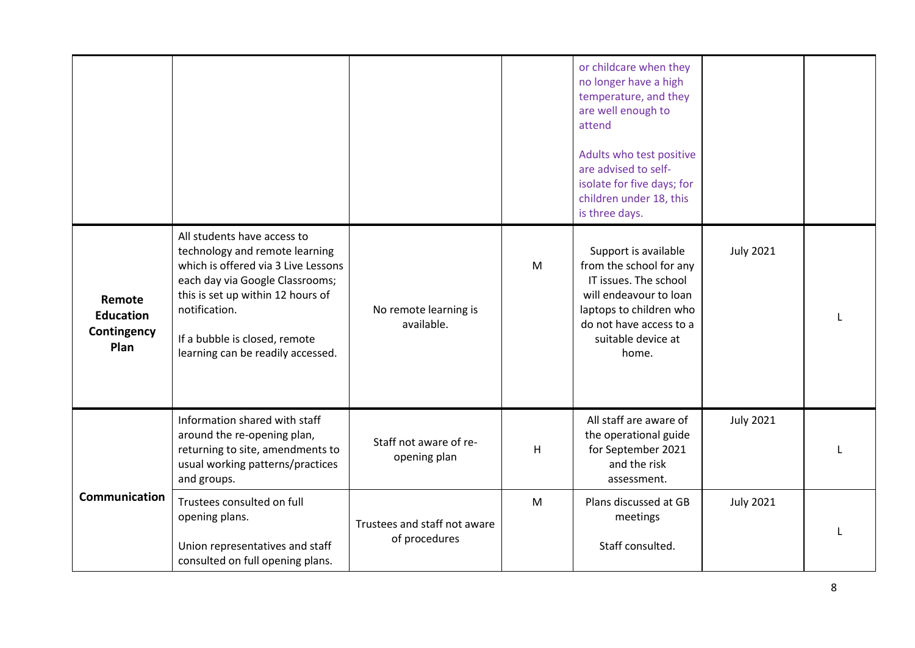|                                                   |                                                                                                                                                                                                                                                                     |                                               |              | or childcare when they<br>no longer have a high<br>temperature, and they<br>are well enough to<br>attend<br>Adults who test positive<br>are advised to self-<br>isolate for five days; for<br>children under 18, this<br>is three days. |                  |  |
|---------------------------------------------------|---------------------------------------------------------------------------------------------------------------------------------------------------------------------------------------------------------------------------------------------------------------------|-----------------------------------------------|--------------|-----------------------------------------------------------------------------------------------------------------------------------------------------------------------------------------------------------------------------------------|------------------|--|
| Remote<br><b>Education</b><br>Contingency<br>Plan | All students have access to<br>technology and remote learning<br>which is offered via 3 Live Lessons<br>each day via Google Classrooms;<br>this is set up within 12 hours of<br>notification.<br>If a bubble is closed, remote<br>learning can be readily accessed. | No remote learning is<br>available.           | $\mathsf{M}$ | Support is available<br>from the school for any<br>IT issues. The school<br>will endeavour to loan<br>laptops to children who<br>do not have access to a<br>suitable device at<br>home.                                                 | <b>July 2021</b> |  |
|                                                   | Information shared with staff<br>around the re-opening plan,<br>returning to site, amendments to<br>usual working patterns/practices<br>and groups.                                                                                                                 | Staff not aware of re-<br>opening plan        | H            | All staff are aware of<br>the operational guide<br>for September 2021<br>and the risk<br>assessment.                                                                                                                                    | <b>July 2021</b> |  |
| Communication                                     | Trustees consulted on full<br>opening plans.<br>Union representatives and staff<br>consulted on full opening plans.                                                                                                                                                 | Trustees and staff not aware<br>of procedures | M            | Plans discussed at GB<br>meetings<br>Staff consulted.                                                                                                                                                                                   | <b>July 2021</b> |  |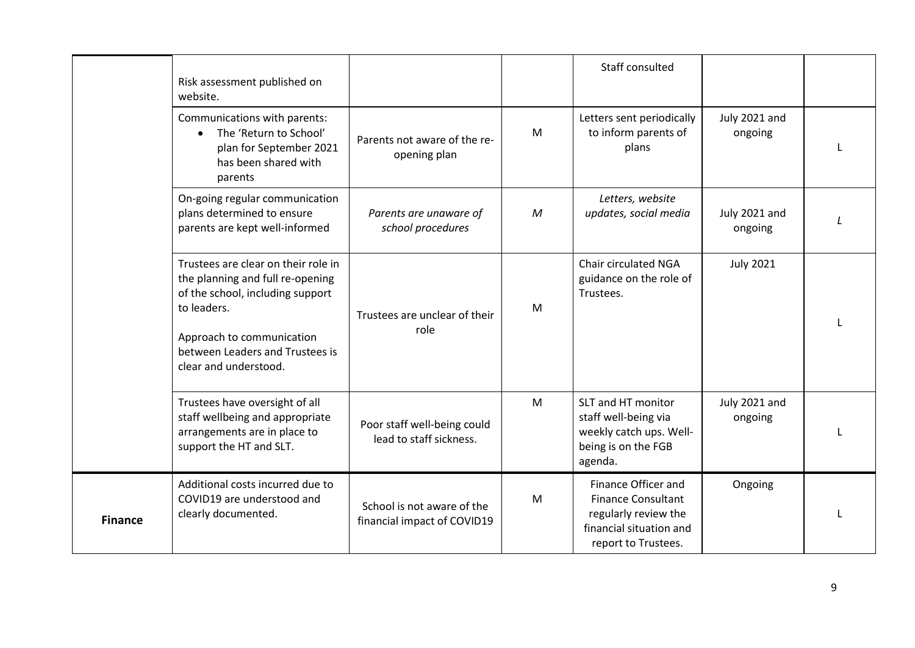|                | Risk assessment published on<br>website.                                                                                                                                                                            |                                                           |              | Staff consulted                                                                                                            |                          |  |
|----------------|---------------------------------------------------------------------------------------------------------------------------------------------------------------------------------------------------------------------|-----------------------------------------------------------|--------------|----------------------------------------------------------------------------------------------------------------------------|--------------------------|--|
|                | Communications with parents:<br>The 'Return to School'<br>$\bullet$<br>plan for September 2021<br>has been shared with<br>parents                                                                                   | Parents not aware of the re-<br>opening plan              | M            | Letters sent periodically<br>to inform parents of<br>plans                                                                 | July 2021 and<br>ongoing |  |
|                | On-going regular communication<br>plans determined to ensure<br>parents are kept well-informed                                                                                                                      | Parents are unaware of<br>school procedures               | $\mathcal M$ | Letters, website<br>updates, social media                                                                                  | July 2021 and<br>ongoing |  |
|                | Trustees are clear on their role in<br>the planning and full re-opening<br>of the school, including support<br>to leaders.<br>Approach to communication<br>between Leaders and Trustees is<br>clear and understood. | Trustees are unclear of their<br>role                     | M            | Chair circulated NGA<br>guidance on the role of<br>Trustees.                                                               | <b>July 2021</b>         |  |
|                | Trustees have oversight of all<br>staff wellbeing and appropriate<br>arrangements are in place to<br>support the HT and SLT.                                                                                        | Poor staff well-being could<br>lead to staff sickness.    | M            | SLT and HT monitor<br>staff well-being via<br>weekly catch ups. Well-<br>being is on the FGB<br>agenda.                    | July 2021 and<br>ongoing |  |
| <b>Finance</b> | Additional costs incurred due to<br>COVID19 are understood and<br>clearly documented.                                                                                                                               | School is not aware of the<br>financial impact of COVID19 | M            | Finance Officer and<br><b>Finance Consultant</b><br>regularly review the<br>financial situation and<br>report to Trustees. | Ongoing                  |  |